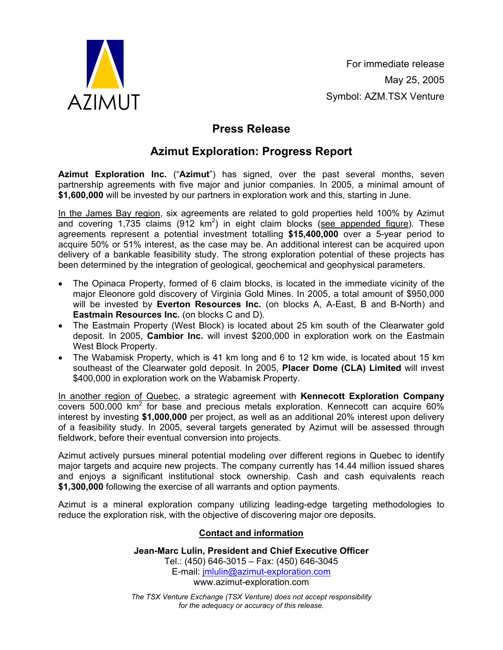

For immediate release May 25, 2005 Symbol: AZM.TSX Venture

## **Press Release**

## **Azimut Exploration: Progress Report**

**Azimut Exploration Inc.** ("**Azimut**") has signed, over the past several months, seven partnership agreements with five major and junior companies. In 2005, a minimal amount of **\$1,600,000** will be invested by our partners in exploration work and this, starting in June.

In the James Bay region, six agreements are related to gold properties held 100% by Azimut and covering 1,735 claims (912 km<sup>2</sup>) in eight claim blocks (see appended figure). These agreements represent a potential investment totalling **\$15,400,000** over a 5-year period to acquire 50% or 51% interest, as the case may be. An additional interest can be acquired upon delivery of a bankable feasibility study. The strong exploration potential of these projects has been determined by the integration of geological, geochemical and geophysical parameters.

- The Opinaca Property, formed of 6 claim blocks, is located in the immediate vicinity of the major Eleonore gold discovery of Virginia Gold Mines. In 2005, a total amount of \$950,000 will be invested by **Everton Resources Inc.** (on blocks A, A-East, B and B-North) and **Eastmain Resources Inc.** (on blocks C and D).
- The Eastmain Property (West Block) is located about 25 km south of the Clearwater gold deposit. In 2005, **Cambior Inc.** will invest \$200,000 in exploration work on the Eastmain West Block Property.
- The Wabamisk Property, which is 41 km long and 6 to 12 km wide, is located about 15 km southeast of the Clearwater gold deposit. In 2005, **Placer Dome (CLA) Limited** will invest \$400,000 in exploration work on the Wabamisk Property.

In another region of Quebec, a strategic agreement with **Kennecott Exploration Company**  $covers 500,000$  km<sup>2</sup> for base and precious metals exploration. Kennecott can acquire  $60\%$ interest by investing **\$1,000,000** per project, as well as an additional 20% interest upon delivery of a feasibility study. In 2005, several targets generated by Azimut will be assessed through fieldwork, before their eventual conversion into projects.

Azimut actively pursues mineral potential modeling over different regions in Quebec to identify major targets and acquire new projects. The company currently has 14.44 million issued shares and enjoys a significant institutional stock ownership. Cash and cash equivalents reach **\$1,300,000** following the exercise of all warrants and option payments.

Azimut is a mineral exploration company utilizing leading-edge targeting methodologies to reduce the exploration risk, with the objective of discovering major ore deposits.

## **Contact and information**

**Jean-Marc Lulin, President and Chief Executive Officer**  Tel.: (450) 646-3015 – Fax: (450) 646-3045 E-mail: jmlulin@azimut-exploration.com www.azimut-exploration.com

*The TSX Venture Exchange (TSX Venture) does not accept responsibility for the adequacy or accuracy of this release.*